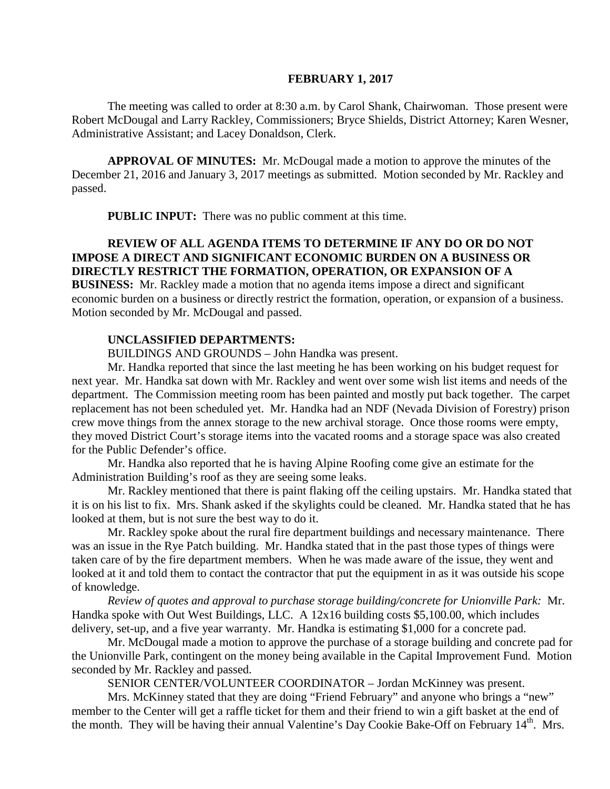#### **FEBRUARY 1, 2017**

The meeting was called to order at 8:30 a.m. by Carol Shank, Chairwoman. Those present were Robert McDougal and Larry Rackley, Commissioners; Bryce Shields, District Attorney; Karen Wesner, Administrative Assistant; and Lacey Donaldson, Clerk.

**APPROVAL OF MINUTES:** Mr. McDougal made a motion to approve the minutes of the December 21, 2016 and January 3, 2017 meetings as submitted. Motion seconded by Mr. Rackley and passed.

 **PUBLIC INPUT:** There was no public comment at this time.

### **REVIEW OF ALL AGENDA ITEMS TO DETERMINE IF ANY DO OR DO NOT IMPOSE A DIRECT AND SIGNIFICANT ECONOMIC BURDEN ON A BUSINESS OR DIRECTLY RESTRICT THE FORMATION, OPERATION, OR EXPANSION OF A**

**BUSINESS:** Mr. Rackley made a motion that no agenda items impose a direct and significant economic burden on a business or directly restrict the formation, operation, or expansion of a business. Motion seconded by Mr. McDougal and passed.

### **UNCLASSIFIED DEPARTMENTS:**

BUILDINGS AND GROUNDS – John Handka was present.

Mr. Handka reported that since the last meeting he has been working on his budget request for next year. Mr. Handka sat down with Mr. Rackley and went over some wish list items and needs of the department. The Commission meeting room has been painted and mostly put back together. The carpet replacement has not been scheduled yet. Mr. Handka had an NDF (Nevada Division of Forestry) prison crew move things from the annex storage to the new archival storage. Once those rooms were empty, they moved District Court's storage items into the vacated rooms and a storage space was also created for the Public Defender's office.

Mr. Handka also reported that he is having Alpine Roofing come give an estimate for the Administration Building's roof as they are seeing some leaks.

Mr. Rackley mentioned that there is paint flaking off the ceiling upstairs. Mr. Handka stated that it is on his list to fix. Mrs. Shank asked if the skylights could be cleaned. Mr. Handka stated that he has looked at them, but is not sure the best way to do it.

Mr. Rackley spoke about the rural fire department buildings and necessary maintenance. There was an issue in the Rye Patch building. Mr. Handka stated that in the past those types of things were taken care of by the fire department members. When he was made aware of the issue, they went and looked at it and told them to contact the contractor that put the equipment in as it was outside his scope of knowledge.

*Review of quotes and approval to purchase storage building/concrete for Unionville Park:* Mr. Handka spoke with Out West Buildings, LLC. A 12x16 building costs \$5,100.00, which includes delivery, set-up, and a five year warranty. Mr. Handka is estimating \$1,000 for a concrete pad.

Mr. McDougal made a motion to approve the purchase of a storage building and concrete pad for the Unionville Park, contingent on the money being available in the Capital Improvement Fund. Motion seconded by Mr. Rackley and passed.

SENIOR CENTER/VOLUNTEER COORDINATOR – Jordan McKinney was present.

Mrs. McKinney stated that they are doing "Friend February" and anyone who brings a "new" member to the Center will get a raffle ticket for them and their friend to win a gift basket at the end of the month. They will be having their annual Valentine's Day Cookie Bake-Off on February 14<sup>th</sup>. Mrs.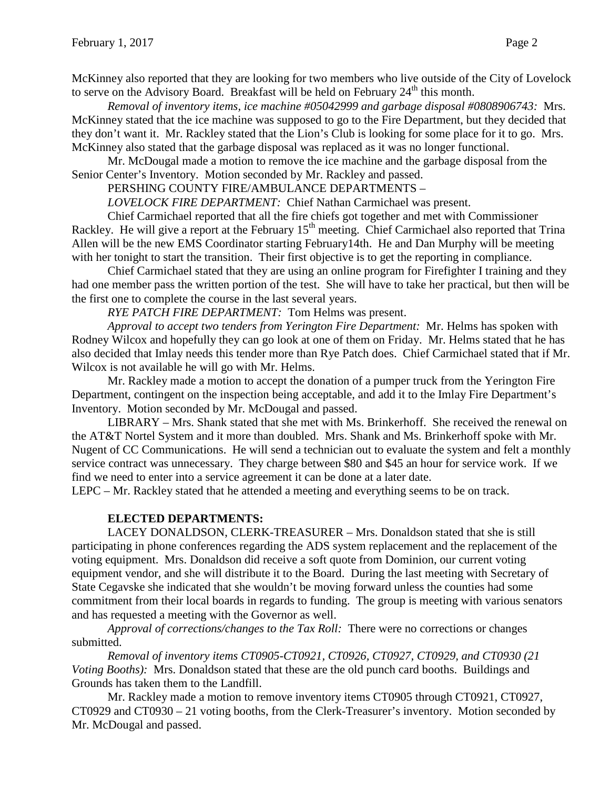McKinney also reported that they are looking for two members who live outside of the City of Lovelock to serve on the Advisory Board. Breakfast will be held on February  $24<sup>th</sup>$  this month.

*Removal of inventory items, ice machine #05042999 and garbage disposal #0808906743:* Mrs. McKinney stated that the ice machine was supposed to go to the Fire Department, but they decided that they don't want it. Mr. Rackley stated that the Lion's Club is looking for some place for it to go. Mrs. McKinney also stated that the garbage disposal was replaced as it was no longer functional.

Mr. McDougal made a motion to remove the ice machine and the garbage disposal from the Senior Center's Inventory. Motion seconded by Mr. Rackley and passed.

PERSHING COUNTY FIRE/AMBULANCE DEPARTMENTS –

*LOVELOCK FIRE DEPARTMENT:* Chief Nathan Carmichael was present.

Chief Carmichael reported that all the fire chiefs got together and met with Commissioner Rackley. He will give a report at the February 15<sup>th</sup> meeting. Chief Carmichael also reported that Trina Allen will be the new EMS Coordinator starting February14th. He and Dan Murphy will be meeting with her tonight to start the transition. Their first objective is to get the reporting in compliance.

Chief Carmichael stated that they are using an online program for Firefighter I training and they had one member pass the written portion of the test. She will have to take her practical, but then will be the first one to complete the course in the last several years.

*RYE PATCH FIRE DEPARTMENT:* Tom Helms was present.

*Approval to accept two tenders from Yerington Fire Department:* Mr. Helms has spoken with Rodney Wilcox and hopefully they can go look at one of them on Friday. Mr. Helms stated that he has also decided that Imlay needs this tender more than Rye Patch does. Chief Carmichael stated that if Mr. Wilcox is not available he will go with Mr. Helms.

Mr. Rackley made a motion to accept the donation of a pumper truck from the Yerington Fire Department, contingent on the inspection being acceptable, and add it to the Imlay Fire Department's Inventory. Motion seconded by Mr. McDougal and passed.

LIBRARY – Mrs. Shank stated that she met with Ms. Brinkerhoff. She received the renewal on the AT&T Nortel System and it more than doubled. Mrs. Shank and Ms. Brinkerhoff spoke with Mr. Nugent of CC Communications. He will send a technician out to evaluate the system and felt a monthly service contract was unnecessary. They charge between \$80 and \$45 an hour for service work. If we find we need to enter into a service agreement it can be done at a later date.

LEPC – Mr. Rackley stated that he attended a meeting and everything seems to be on track.

# **ELECTED DEPARTMENTS:**

LACEY DONALDSON, CLERK-TREASURER – Mrs. Donaldson stated that she is still participating in phone conferences regarding the ADS system replacement and the replacement of the voting equipment. Mrs. Donaldson did receive a soft quote from Dominion, our current voting equipment vendor, and she will distribute it to the Board. During the last meeting with Secretary of State Cegavske she indicated that she wouldn't be moving forward unless the counties had some commitment from their local boards in regards to funding. The group is meeting with various senators and has requested a meeting with the Governor as well.

*Approval of corrections/changes to the Tax Roll:* There were no corrections or changes submitted.

*Removal of inventory items CT0905-CT0921, CT0926, CT0927, CT0929, and CT0930 (21 Voting Booths):* Mrs. Donaldson stated that these are the old punch card booths. Buildings and Grounds has taken them to the Landfill.

Mr. Rackley made a motion to remove inventory items CT0905 through CT0921, CT0927, CT0929 and CT0930 – 21 voting booths, from the Clerk-Treasurer's inventory. Motion seconded by Mr. McDougal and passed.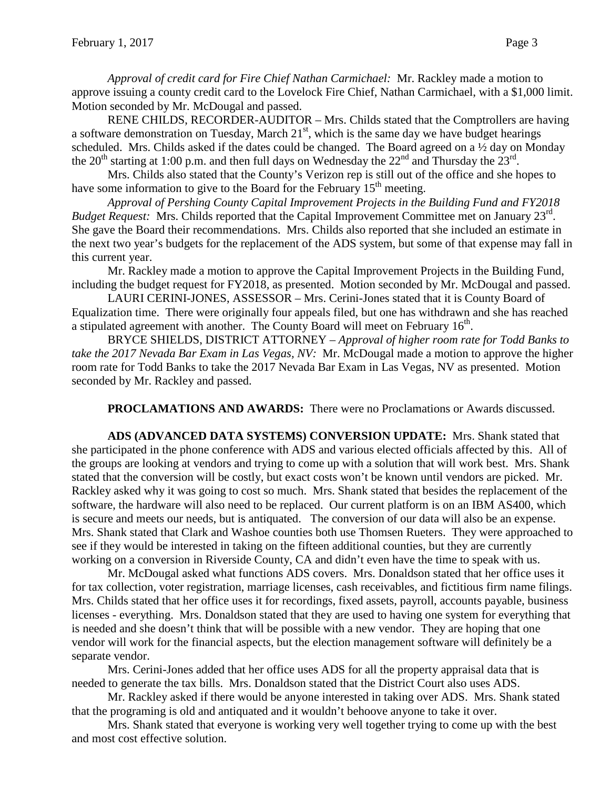*Approval of credit card for Fire Chief Nathan Carmichael:* Mr. Rackley made a motion to approve issuing a county credit card to the Lovelock Fire Chief, Nathan Carmichael, with a \$1,000 limit. Motion seconded by Mr. McDougal and passed.

RENE CHILDS, RECORDER-AUDITOR – Mrs. Childs stated that the Comptrollers are having a software demonstration on Tuesday, March  $21<sup>st</sup>$ , which is the same day we have budget hearings scheduled. Mrs. Childs asked if the dates could be changed. The Board agreed on a ½ day on Monday the 20<sup>th</sup> starting at 1:00 p.m. and then full days on Wednesday the  $22<sup>nd</sup>$  and Thursday the  $23<sup>rd</sup>$ .

Mrs. Childs also stated that the County's Verizon rep is still out of the office and she hopes to have some information to give to the Board for the February  $15<sup>th</sup>$  meeting.

*Approval of Pershing County Capital Improvement Projects in the Building Fund and FY2018 Budget Request:* Mrs. Childs reported that the Capital Improvement Committee met on January 23<sup>rd</sup>. She gave the Board their recommendations. Mrs. Childs also reported that she included an estimate in the next two year's budgets for the replacement of the ADS system, but some of that expense may fall in this current year.

Mr. Rackley made a motion to approve the Capital Improvement Projects in the Building Fund, including the budget request for FY2018, as presented. Motion seconded by Mr. McDougal and passed.

LAURI CERINI-JONES, ASSESSOR – Mrs. Cerini-Jones stated that it is County Board of Equalization time. There were originally four appeals filed, but one has withdrawn and she has reached a stipulated agreement with another. The County Board will meet on February  $16<sup>th</sup>$ .

BRYCE SHIELDS, DISTRICT ATTORNEY – *Approval of higher room rate for Todd Banks to take the 2017 Nevada Bar Exam in Las Vegas, NV:* Mr. McDougal made a motion to approve the higher room rate for Todd Banks to take the 2017 Nevada Bar Exam in Las Vegas, NV as presented. Motion seconded by Mr. Rackley and passed.

**PROCLAMATIONS AND AWARDS:** There were no Proclamations or Awards discussed.

**ADS (ADVANCED DATA SYSTEMS) CONVERSION UPDATE:** Mrs. Shank stated that she participated in the phone conference with ADS and various elected officials affected by this. All of the groups are looking at vendors and trying to come up with a solution that will work best. Mrs. Shank stated that the conversion will be costly, but exact costs won't be known until vendors are picked. Mr. Rackley asked why it was going to cost so much. Mrs. Shank stated that besides the replacement of the software, the hardware will also need to be replaced. Our current platform is on an IBM AS400, which is secure and meets our needs, but is antiquated. The conversion of our data will also be an expense. Mrs. Shank stated that Clark and Washoe counties both use Thomsen Rueters. They were approached to see if they would be interested in taking on the fifteen additional counties, but they are currently working on a conversion in Riverside County, CA and didn't even have the time to speak with us.

Mr. McDougal asked what functions ADS covers. Mrs. Donaldson stated that her office uses it for tax collection, voter registration, marriage licenses, cash receivables, and fictitious firm name filings. Mrs. Childs stated that her office uses it for recordings, fixed assets, payroll, accounts payable, business licenses - everything. Mrs. Donaldson stated that they are used to having one system for everything that is needed and she doesn't think that will be possible with a new vendor. They are hoping that one vendor will work for the financial aspects, but the election management software will definitely be a separate vendor.

Mrs. Cerini-Jones added that her office uses ADS for all the property appraisal data that is needed to generate the tax bills. Mrs. Donaldson stated that the District Court also uses ADS.

Mr. Rackley asked if there would be anyone interested in taking over ADS. Mrs. Shank stated that the programing is old and antiquated and it wouldn't behoove anyone to take it over.

Mrs. Shank stated that everyone is working very well together trying to come up with the best and most cost effective solution.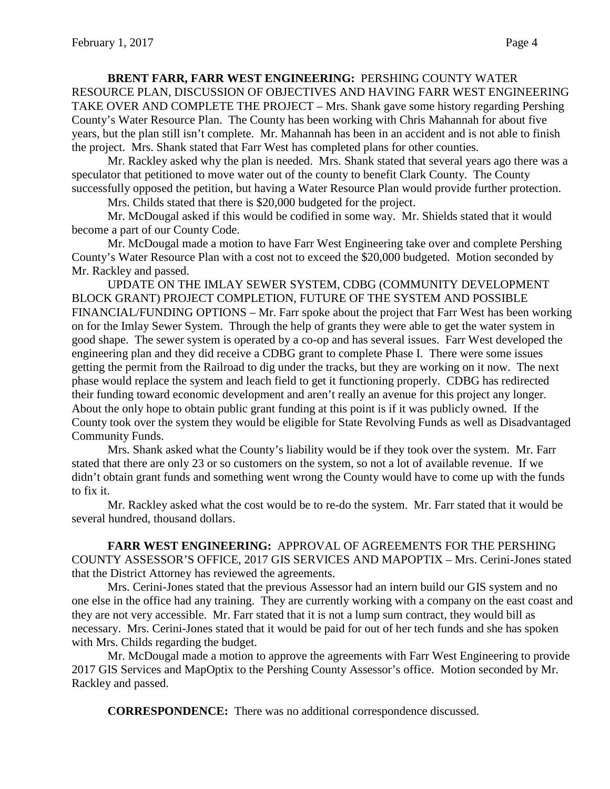### **BRENT FARR, FARR WEST ENGINEERING:** PERSHING COUNTY WATER

RESOURCE PLAN, DISCUSSION OF OBJECTIVES AND HAVING FARR WEST ENGINEERING TAKE OVER AND COMPLETE THE PROJECT – Mrs. Shank gave some history regarding Pershing County's Water Resource Plan. The County has been working with Chris Mahannah for about five years, but the plan still isn't complete. Mr. Mahannah has been in an accident and is not able to finish the project. Mrs. Shank stated that Farr West has completed plans for other counties.

Mr. Rackley asked why the plan is needed. Mrs. Shank stated that several years ago there was a speculator that petitioned to move water out of the county to benefit Clark County. The County successfully opposed the petition, but having a Water Resource Plan would provide further protection.

Mrs. Childs stated that there is \$20,000 budgeted for the project.

Mr. McDougal asked if this would be codified in some way. Mr. Shields stated that it would become a part of our County Code.

Mr. McDougal made a motion to have Farr West Engineering take over and complete Pershing County's Water Resource Plan with a cost not to exceed the \$20,000 budgeted. Motion seconded by Mr. Rackley and passed.

UPDATE ON THE IMLAY SEWER SYSTEM, CDBG (COMMUNITY DEVELOPMENT BLOCK GRANT) PROJECT COMPLETION, FUTURE OF THE SYSTEM AND POSSIBLE FINANCIAL/FUNDING OPTIONS – Mr. Farr spoke about the project that Farr West has been working on for the Imlay Sewer System. Through the help of grants they were able to get the water system in good shape. The sewer system is operated by a co-op and has several issues. Farr West developed the engineering plan and they did receive a CDBG grant to complete Phase I. There were some issues getting the permit from the Railroad to dig under the tracks, but they are working on it now. The next phase would replace the system and leach field to get it functioning properly. CDBG has redirected their funding toward economic development and aren't really an avenue for this project any longer. About the only hope to obtain public grant funding at this point is if it was publicly owned. If the County took over the system they would be eligible for State Revolving Funds as well as Disadvantaged Community Funds.

Mrs. Shank asked what the County's liability would be if they took over the system. Mr. Farr stated that there are only 23 or so customers on the system, so not a lot of available revenue. If we didn't obtain grant funds and something went wrong the County would have to come up with the funds to fix it.

Mr. Rackley asked what the cost would be to re-do the system. Mr. Farr stated that it would be several hundred, thousand dollars.

**FARR WEST ENGINEERING:** APPROVAL OF AGREEMENTS FOR THE PERSHING COUNTY ASSESSOR'S OFFICE, 2017 GIS SERVICES AND MAPOPTIX – Mrs. Cerini-Jones stated that the District Attorney has reviewed the agreements.

Mrs. Cerini-Jones stated that the previous Assessor had an intern build our GIS system and no one else in the office had any training. They are currently working with a company on the east coast and they are not very accessible. Mr. Farr stated that it is not a lump sum contract, they would bill as necessary. Mrs. Cerini-Jones stated that it would be paid for out of her tech funds and she has spoken with Mrs. Childs regarding the budget.

Mr. McDougal made a motion to approve the agreements with Farr West Engineering to provide 2017 GIS Services and MapOptix to the Pershing County Assessor's office. Motion seconded by Mr. Rackley and passed.

**CORRESPONDENCE:** There was no additional correspondence discussed.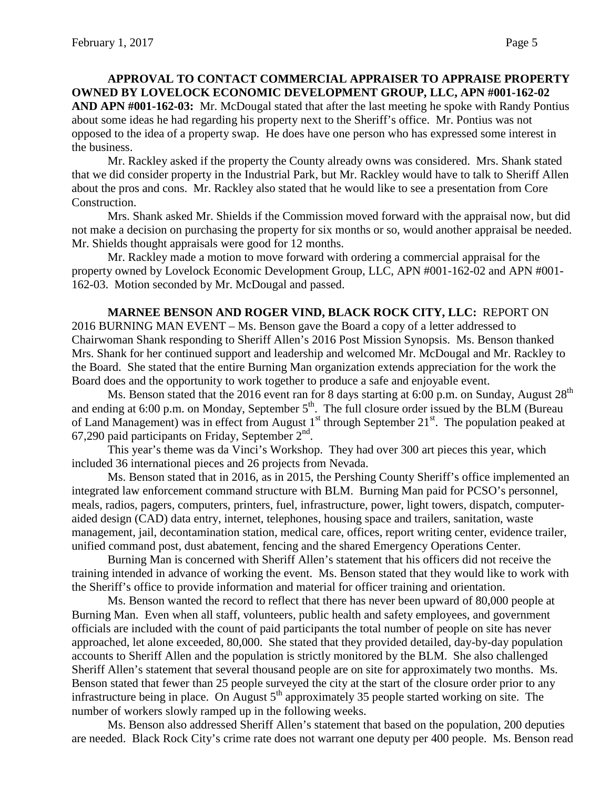# **APPROVAL TO CONTACT COMMERCIAL APPRAISER TO APPRAISE PROPERTY OWNED BY LOVELOCK ECONOMIC DEVELOPMENT GROUP, LLC, APN #001-162-02 AND APN #001-162-03:** Mr. McDougal stated that after the last meeting he spoke with Randy Pontius about some ideas he had regarding his property next to the Sheriff's office. Mr. Pontius was not opposed to the idea of a property swap. He does have one person who has expressed some interest in the business.

Mr. Rackley asked if the property the County already owns was considered. Mrs. Shank stated that we did consider property in the Industrial Park, but Mr. Rackley would have to talk to Sheriff Allen about the pros and cons. Mr. Rackley also stated that he would like to see a presentation from Core Construction.

Mrs. Shank asked Mr. Shields if the Commission moved forward with the appraisal now, but did not make a decision on purchasing the property for six months or so, would another appraisal be needed. Mr. Shields thought appraisals were good for 12 months.

Mr. Rackley made a motion to move forward with ordering a commercial appraisal for the property owned by Lovelock Economic Development Group, LLC, APN #001-162-02 and APN #001- 162-03. Motion seconded by Mr. McDougal and passed.

**MARNEE BENSON AND ROGER VIND, BLACK ROCK CITY, LLC:** REPORT ON 2016 BURNING MAN EVENT – Ms. Benson gave the Board a copy of a letter addressed to Chairwoman Shank responding to Sheriff Allen's 2016 Post Mission Synopsis. Ms. Benson thanked Mrs. Shank for her continued support and leadership and welcomed Mr. McDougal and Mr. Rackley to the Board. She stated that the entire Burning Man organization extends appreciation for the work the Board does and the opportunity to work together to produce a safe and enjoyable event.

Ms. Benson stated that the 2016 event ran for 8 days starting at 6:00 p.m. on Sunday, August  $28<sup>th</sup>$ and ending at 6:00 p.m. on Monday, September 5<sup>th</sup>. The full closure order issued by the BLM (Bureau of Land Management) was in effect from August  $1<sup>st</sup>$  through September  $21<sup>st</sup>$ . The population peaked at 67,290 paid participants on Friday, September  $2<sup>nd</sup>$ .

This year's theme was da Vinci's Workshop. They had over 300 art pieces this year, which included 36 international pieces and 26 projects from Nevada.

Ms. Benson stated that in 2016, as in 2015, the Pershing County Sheriff's office implemented an integrated law enforcement command structure with BLM. Burning Man paid for PCSO's personnel, meals, radios, pagers, computers, printers, fuel, infrastructure, power, light towers, dispatch, computeraided design (CAD) data entry, internet, telephones, housing space and trailers, sanitation, waste management, jail, decontamination station, medical care, offices, report writing center, evidence trailer, unified command post, dust abatement, fencing and the shared Emergency Operations Center.

Burning Man is concerned with Sheriff Allen's statement that his officers did not receive the training intended in advance of working the event. Ms. Benson stated that they would like to work with the Sheriff's office to provide information and material for officer training and orientation.

Ms. Benson wanted the record to reflect that there has never been upward of 80,000 people at Burning Man. Even when all staff, volunteers, public health and safety employees, and government officials are included with the count of paid participants the total number of people on site has never approached, let alone exceeded, 80,000. She stated that they provided detailed, day-by-day population accounts to Sheriff Allen and the population is strictly monitored by the BLM. She also challenged Sheriff Allen's statement that several thousand people are on site for approximately two months. Ms. Benson stated that fewer than 25 people surveyed the city at the start of the closure order prior to any infrastructure being in place. On August  $5<sup>th</sup>$  approximately 35 people started working on site. The number of workers slowly ramped up in the following weeks.

Ms. Benson also addressed Sheriff Allen's statement that based on the population, 200 deputies are needed. Black Rock City's crime rate does not warrant one deputy per 400 people. Ms. Benson read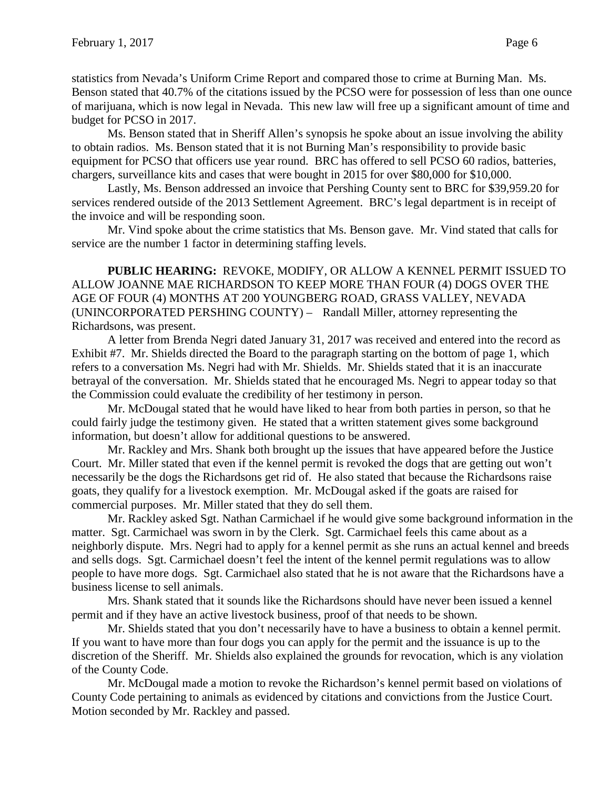statistics from Nevada's Uniform Crime Report and compared those to crime at Burning Man. Ms. Benson stated that 40.7% of the citations issued by the PCSO were for possession of less than one ounce of marijuana, which is now legal in Nevada. This new law will free up a significant amount of time and budget for PCSO in 2017.

Ms. Benson stated that in Sheriff Allen's synopsis he spoke about an issue involving the ability to obtain radios. Ms. Benson stated that it is not Burning Man's responsibility to provide basic equipment for PCSO that officers use year round. BRC has offered to sell PCSO 60 radios, batteries, chargers, surveillance kits and cases that were bought in 2015 for over \$80,000 for \$10,000.

Lastly, Ms. Benson addressed an invoice that Pershing County sent to BRC for \$39,959.20 for services rendered outside of the 2013 Settlement Agreement. BRC's legal department is in receipt of the invoice and will be responding soon.

Mr. Vind spoke about the crime statistics that Ms. Benson gave. Mr. Vind stated that calls for service are the number 1 factor in determining staffing levels.

**PUBLIC HEARING:** REVOKE, MODIFY, OR ALLOW A KENNEL PERMIT ISSUED TO ALLOW JOANNE MAE RICHARDSON TO KEEP MORE THAN FOUR (4) DOGS OVER THE AGE OF FOUR (4) MONTHS AT 200 YOUNGBERG ROAD, GRASS VALLEY, NEVADA (UNINCORPORATED PERSHING COUNTY) – Randall Miller, attorney representing the Richardsons, was present.

A letter from Brenda Negri dated January 31, 2017 was received and entered into the record as Exhibit #7. Mr. Shields directed the Board to the paragraph starting on the bottom of page 1, which refers to a conversation Ms. Negri had with Mr. Shields. Mr. Shields stated that it is an inaccurate betrayal of the conversation. Mr. Shields stated that he encouraged Ms. Negri to appear today so that the Commission could evaluate the credibility of her testimony in person.

Mr. McDougal stated that he would have liked to hear from both parties in person, so that he could fairly judge the testimony given. He stated that a written statement gives some background information, but doesn't allow for additional questions to be answered.

Mr. Rackley and Mrs. Shank both brought up the issues that have appeared before the Justice Court. Mr. Miller stated that even if the kennel permit is revoked the dogs that are getting out won't necessarily be the dogs the Richardsons get rid of. He also stated that because the Richardsons raise goats, they qualify for a livestock exemption. Mr. McDougal asked if the goats are raised for commercial purposes. Mr. Miller stated that they do sell them.

Mr. Rackley asked Sgt. Nathan Carmichael if he would give some background information in the matter. Sgt. Carmichael was sworn in by the Clerk. Sgt. Carmichael feels this came about as a neighborly dispute. Mrs. Negri had to apply for a kennel permit as she runs an actual kennel and breeds and sells dogs. Sgt. Carmichael doesn't feel the intent of the kennel permit regulations was to allow people to have more dogs. Sgt. Carmichael also stated that he is not aware that the Richardsons have a business license to sell animals.

Mrs. Shank stated that it sounds like the Richardsons should have never been issued a kennel permit and if they have an active livestock business, proof of that needs to be shown.

Mr. Shields stated that you don't necessarily have to have a business to obtain a kennel permit. If you want to have more than four dogs you can apply for the permit and the issuance is up to the discretion of the Sheriff. Mr. Shields also explained the grounds for revocation, which is any violation of the County Code.

Mr. McDougal made a motion to revoke the Richardson's kennel permit based on violations of County Code pertaining to animals as evidenced by citations and convictions from the Justice Court. Motion seconded by Mr. Rackley and passed.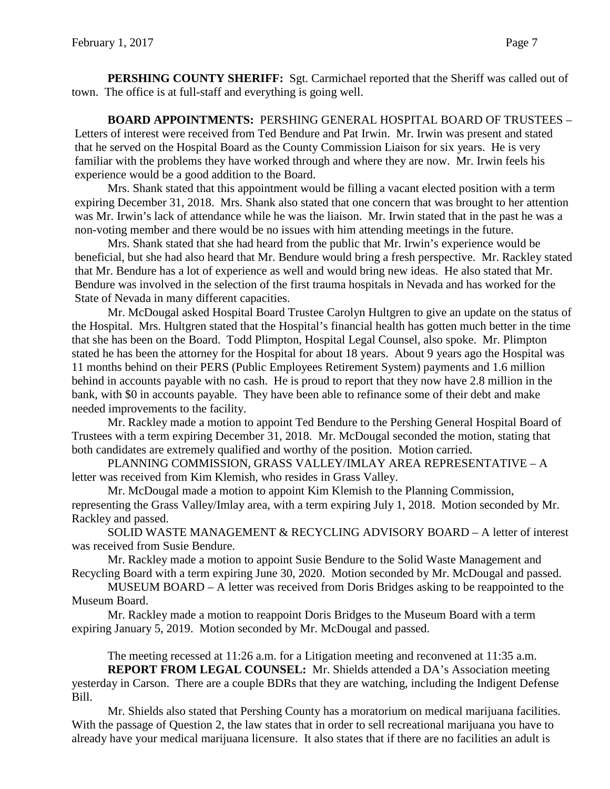**PERSHING COUNTY SHERIFF:** Sgt. Carmichael reported that the Sheriff was called out of town. The office is at full-staff and everything is going well.

**BOARD APPOINTMENTS:** PERSHING GENERAL HOSPITAL BOARD OF TRUSTEES – Letters of interest were received from Ted Bendure and Pat Irwin. Mr. Irwin was present and stated that he served on the Hospital Board as the County Commission Liaison for six years. He is very familiar with the problems they have worked through and where they are now. Mr. Irwin feels his experience would be a good addition to the Board.

Mrs. Shank stated that this appointment would be filling a vacant elected position with a term expiring December 31, 2018. Mrs. Shank also stated that one concern that was brought to her attention was Mr. Irwin's lack of attendance while he was the liaison. Mr. Irwin stated that in the past he was a non-voting member and there would be no issues with him attending meetings in the future.

Mrs. Shank stated that she had heard from the public that Mr. Irwin's experience would be beneficial, but she had also heard that Mr. Bendure would bring a fresh perspective. Mr. Rackley stated that Mr. Bendure has a lot of experience as well and would bring new ideas. He also stated that Mr. Bendure was involved in the selection of the first trauma hospitals in Nevada and has worked for the State of Nevada in many different capacities.

Mr. McDougal asked Hospital Board Trustee Carolyn Hultgren to give an update on the status of the Hospital. Mrs. Hultgren stated that the Hospital's financial health has gotten much better in the time that she has been on the Board. Todd Plimpton, Hospital Legal Counsel, also spoke. Mr. Plimpton stated he has been the attorney for the Hospital for about 18 years. About 9 years ago the Hospital was 11 months behind on their PERS (Public Employees Retirement System) payments and 1.6 million behind in accounts payable with no cash. He is proud to report that they now have 2.8 million in the bank, with \$0 in accounts payable. They have been able to refinance some of their debt and make needed improvements to the facility.

Mr. Rackley made a motion to appoint Ted Bendure to the Pershing General Hospital Board of Trustees with a term expiring December 31, 2018. Mr. McDougal seconded the motion, stating that both candidates are extremely qualified and worthy of the position. Motion carried.

PLANNING COMMISSION, GRASS VALLEY/IMLAY AREA REPRESENTATIVE – A letter was received from Kim Klemish, who resides in Grass Valley.

Mr. McDougal made a motion to appoint Kim Klemish to the Planning Commission, representing the Grass Valley/Imlay area, with a term expiring July 1, 2018. Motion seconded by Mr. Rackley and passed.

SOLID WASTE MANAGEMENT & RECYCLING ADVISORY BOARD – A letter of interest was received from Susie Bendure.

Mr. Rackley made a motion to appoint Susie Bendure to the Solid Waste Management and Recycling Board with a term expiring June 30, 2020. Motion seconded by Mr. McDougal and passed.

MUSEUM BOARD – A letter was received from Doris Bridges asking to be reappointed to the Museum Board.

Mr. Rackley made a motion to reappoint Doris Bridges to the Museum Board with a term expiring January 5, 2019. Motion seconded by Mr. McDougal and passed.

The meeting recessed at 11:26 a.m. for a Litigation meeting and reconvened at 11:35 a.m.

**REPORT FROM LEGAL COUNSEL:** Mr. Shields attended a DA's Association meeting yesterday in Carson. There are a couple BDRs that they are watching, including the Indigent Defense Bill.

Mr. Shields also stated that Pershing County has a moratorium on medical marijuana facilities. With the passage of Question 2, the law states that in order to sell recreational marijuana you have to already have your medical marijuana licensure. It also states that if there are no facilities an adult is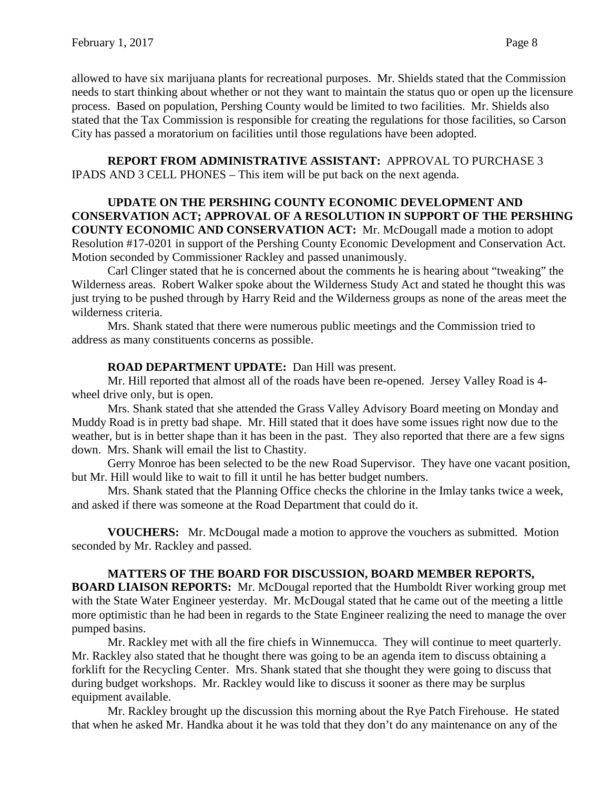allowed to have six marijuana plants for recreational purposes. Mr. Shields stated that the Commission needs to start thinking about whether or not they want to maintain the status quo or open up the licensure process. Based on population, Pershing County would be limited to two facilities. Mr. Shields also stated that the Tax Commission is responsible for creating the regulations for those facilities, so Carson City has passed a moratorium on facilities until those regulations have been adopted.

**REPORT FROM ADMINISTRATIVE ASSISTANT:** APPROVAL TO PURCHASE 3 IPADS AND 3 CELL PHONES – This item will be put back on the next agenda.

### **UPDATE ON THE PERSHING COUNTY ECONOMIC DEVELOPMENT AND CONSERVATION ACT; APPROVAL OF A RESOLUTION IN SUPPORT OF THE PERSHING COUNTY ECONOMIC AND CONSERVATION ACT:** Mr. McDougall made a motion to adopt Resolution #17-0201 in support of the Pershing County Economic Development and Conservation Act. Motion seconded by Commissioner Rackley and passed unanimously.

Carl Clinger stated that he is concerned about the comments he is hearing about "tweaking" the Wilderness areas. Robert Walker spoke about the Wilderness Study Act and stated he thought this was just trying to be pushed through by Harry Reid and the Wilderness groups as none of the areas meet the wilderness criteria.

Mrs. Shank stated that there were numerous public meetings and the Commission tried to address as many constituents concerns as possible.

# **ROAD DEPARTMENT UPDATE:** Dan Hill was present.

Mr. Hill reported that almost all of the roads have been re-opened. Jersey Valley Road is 4 wheel drive only, but is open.

Mrs. Shank stated that she attended the Grass Valley Advisory Board meeting on Monday and Muddy Road is in pretty bad shape. Mr. Hill stated that it does have some issues right now due to the weather, but is in better shape than it has been in the past. They also reported that there are a few signs down. Mrs. Shank will email the list to Chastity.

Gerry Monroe has been selected to be the new Road Supervisor. They have one vacant position, but Mr. Hill would like to wait to fill it until he has better budget numbers.

Mrs. Shank stated that the Planning Office checks the chlorine in the Imlay tanks twice a week, and asked if there was someone at the Road Department that could do it.

**VOUCHERS:** Mr. McDougal made a motion to approve the vouchers as submitted. Motion seconded by Mr. Rackley and passed.

# **MATTERS OF THE BOARD FOR DISCUSSION, BOARD MEMBER REPORTS,**

**BOARD LIAISON REPORTS:** Mr. McDougal reported that the Humboldt River working group met with the State Water Engineer yesterday. Mr. McDougal stated that he came out of the meeting a little more optimistic than he had been in regards to the State Engineer realizing the need to manage the over pumped basins.

Mr. Rackley met with all the fire chiefs in Winnemucca. They will continue to meet quarterly. Mr. Rackley also stated that he thought there was going to be an agenda item to discuss obtaining a forklift for the Recycling Center. Mrs. Shank stated that she thought they were going to discuss that during budget workshops. Mr. Rackley would like to discuss it sooner as there may be surplus equipment available.

Mr. Rackley brought up the discussion this morning about the Rye Patch Firehouse. He stated that when he asked Mr. Handka about it he was told that they don't do any maintenance on any of the